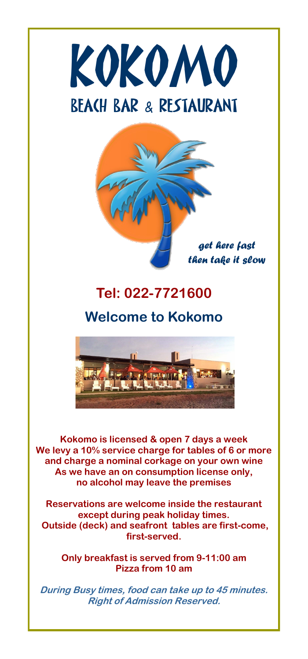



## **Tel: 022-7721600**

### **Welcome to Kokomo**



**Kokomo is licensed & open 7 days a week We levy a 10% service charge for tables of 6 or more and charge a nominal corkage on your own wine As we have an on consumption license only, no alcohol may leave the premises**

**Reservations are welcome inside the restaurant except during peak holiday times. Outside (deck) and seafront tables are first-come, first-served.**

**Only breakfast is served from 9-11:00 am Pizza from 10 am**

**During Busy times, food can take up to 45 minutes. Right of Admission Reserved.**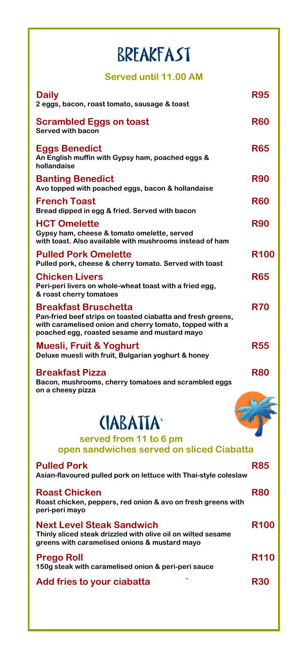## BREAKFAST

**Served until 11.00 AM**

| Daily<br>2 eggs, bacon, roast tomato, sausage & toast                                                                                                                                                 | <b>R95</b>  |
|-------------------------------------------------------------------------------------------------------------------------------------------------------------------------------------------------------|-------------|
| Scrambled Eggs on toast<br><b>Served with bacon</b>                                                                                                                                                   | <b>R60</b>  |
| <b>Eggs Benedict</b><br>An English muffin with Gypsy ham, poached eggs &<br>hollandaise                                                                                                               | <b>R65</b>  |
| <b>Banting Benedict</b><br>Avo topped with poached eggs, bacon & hollandaise                                                                                                                          | <b>R90</b>  |
| <b>French Toast</b><br>Bread dipped in egg & fried. Served with bacon                                                                                                                                 | <b>R60</b>  |
| <b>HCT Omelette</b><br>Gypsy ham, cheese & tomato omelette, served<br>with toast. Also available with mushrooms instead of ham                                                                        | <b>R90</b>  |
| <b>Pulled Pork Omelette</b><br>Pulled pork, cheese & cherry tomato. Served with toast                                                                                                                 | <b>R100</b> |
| <b>Chicken Livers</b><br>Peri-peri livers on whole-wheat toast with a fried egg,<br>& roast cherry tomatoes                                                                                           | <b>R65</b>  |
| <b>Breakfast Bruschetta</b><br>Pan-fried beef strips on toasted ciabatta and fresh greens,<br>with caramelised onion and cherry tomato, topped with a<br>poached egg, roasted sesame and mustard mayo | R70         |
| Muesli, Fruit & Yoghurt<br>Deluxe muesli with fruit, Bulgarian yoghurt & honey                                                                                                                        | <b>R55</b>  |
| <b>Breakfast Pizza</b><br>Bacon, mushrooms, cherry tomatoes and scrambled eggs<br>on a cheesy pizza                                                                                                   | R80         |
|                                                                                                                                                                                                       |             |
| <b>CIABATTA</b>                                                                                                                                                                                       |             |
| served from 11 to 6 pm<br>open sandwiches served on sliced Ciabatta                                                                                                                                   |             |
| <b>Pulled Pork</b><br>Asian-flavoured pulled pork on lettuce with Thai-style coleslaw                                                                                                                 | <b>R85</b>  |
| <b>Roast Chicken</b><br>Roast chicken, peppers, red onion & avo on fresh greens with<br>peri-peri mayo                                                                                                | <b>R80</b>  |
| <b>Next Level Steak Sandwich</b><br>Thinly sliced steak drizzled with olive oil on wilted sesame<br>greens with caramelised onions & mustard mayo                                                     | <b>R100</b> |
| <b>Prego Roll</b><br>150g steak with caramelised onion & peri-peri sauce                                                                                                                              | <b>R110</b> |
| Add fries to your ciabatta                                                                                                                                                                            | <b>R30</b>  |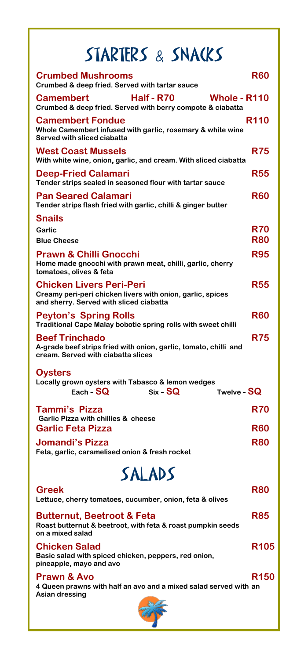# STARTERS & SNACKS

| <b>Crumbed Mushrooms</b><br>Crumbed & deep fried. Served with tartar sauce                                                               | <b>R60</b>  |
|------------------------------------------------------------------------------------------------------------------------------------------|-------------|
| <b>Camembert</b><br><b>Half - R70</b><br><b>Whole - R110</b><br>Crumbed & deep fried. Served with berry compote & ciabatta               |             |
| <b>Camembert Fondue</b><br>Whole Camembert infused with garlic, rosemary & white wine<br>Served with sliced ciabatta                     | <b>R110</b> |
| <b>West Coast Mussels</b><br>With white wine, onion, garlic, and cream. With sliced ciabatta                                             | <b>R75</b>  |
| <b>Deep-Fried Calamari</b><br>Tender strips sealed in seasoned flour with tartar sauce                                                   | R55         |
| <b>Pan Seared Calamari</b><br>Tender strips flash fried with garlic, chilli & ginger butter                                              | <b>R60</b>  |
| <b>Snails</b>                                                                                                                            |             |
| Garlic                                                                                                                                   | <b>R70</b>  |
| <b>Blue Cheese</b>                                                                                                                       | <b>R80</b>  |
| <b>Prawn &amp; Chilli Gnocchi</b><br>Home made gnocchi with prawn meat, chilli, garlic, cherry<br>tomatoes, olives & feta                | <b>R95</b>  |
| <b>Chicken Livers Peri-Peri</b><br>Creamy peri-peri chicken livers with onion, garlic, spices<br>and sherry. Served with sliced ciabatta | R55         |
| <b>Peyton's Spring Rolls</b><br>Traditional Cape Malay bobotie spring rolls with sweet chilli                                            | <b>R60</b>  |
| <b>Beef Trinchado</b><br>A-grade beef strips fried with onion, garlic, tomato, chilli and<br>cream. Served with ciabatta slices          | <b>R75</b>  |
| <b>Oysters</b><br>Locally grown oysters with Tabasco & lemon wedges<br>$Each - SQ$<br>$Six - SQ$<br>Twelve - SQ                          |             |
| <b>Tammi's Pizza</b>                                                                                                                     | <b>R70</b>  |
| Garlic Pizza with chillies & cheese<br><b>Garlic Feta Pizza</b>                                                                          | <b>R60</b>  |
| Jomandi's Pizza<br>Feta, garlic, caramelised onion & fresh rocket                                                                        | R80         |
| SALADS                                                                                                                                   |             |
|                                                                                                                                          |             |
| <b>Greek</b><br>Lettuce, cherry tomatoes, cucumber, onion, feta & olives                                                                 | R80         |
| <b>Butternut, Beetroot &amp; Feta</b><br>Roast butternut & beetroot, with feta & roast pumpkin seeds<br>on a mixed salad                 | <b>R85</b>  |
| <b>Chicken Salad</b><br>Basic salad with spiced chicken, peppers, red onion,<br>pineapple, mayo and avo                                  | <b>R105</b> |
| <b>Prawn &amp; Avo</b><br>4 Queen prawns with half an avo and a mixed salad served with an<br>Asian dressing                             | R150        |
|                                                                                                                                          |             |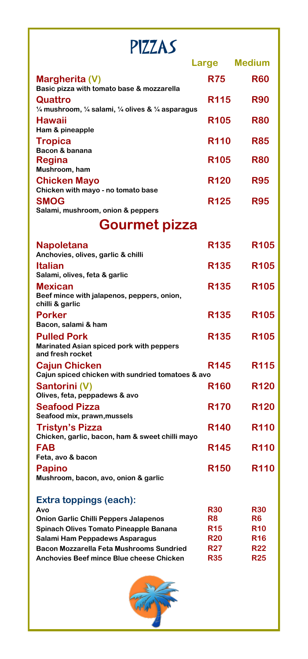| PIZZAS                                                                                                  |                          |                          |
|---------------------------------------------------------------------------------------------------------|--------------------------|--------------------------|
|                                                                                                         | Large                    | <b>Medium</b>            |
| Margherita (V)<br>Basic pizza with tomato base & mozzarella                                             | <b>R75</b>               | <b>R60</b>               |
| Quattro<br>$\frac{1}{4}$ mushroom, $\frac{1}{4}$ salami, $\frac{1}{4}$ olives & $\frac{1}{4}$ asparagus | <b>R115</b>              | <b>R90</b>               |
| <b>Hawaii</b><br>Ham & pineapple                                                                        | <b>R105</b>              | <b>R80</b>               |
| <b>Tropica</b><br>Bacon & banana                                                                        | <b>R110</b>              | <b>R85</b>               |
| Regina<br>Mushroom, ham                                                                                 | <b>R105</b>              | <b>R80</b>               |
| <b>Chicken Mayo</b><br>Chicken with mayo - no tomato base                                               | <b>R120</b>              | <b>R95</b>               |
| <b>SMOG</b><br>Salami, mushroom, onion & peppers                                                        | R125                     | <b>R95</b>               |
| <b>Gourmet pizza</b>                                                                                    |                          |                          |
| Napoletana<br>Anchovies, olives, garlic & chilli                                                        | R <sub>135</sub>         | R <sub>105</sub>         |
| <b>Italian</b><br>Salami, olives, feta & garlic                                                         | <b>R135</b>              | R <sub>105</sub>         |
| <b>Mexican</b><br>Beef mince with jalapenos, peppers, onion,<br>chilli & garlic                         | R135                     | R <sub>105</sub>         |
| <b>Porker</b><br>Bacon, salami & ham                                                                    | <b>R135</b>              | <b>R105</b>              |
| <b>Pulled Pork</b><br>Marinated Asian spiced pork with peppers<br>and fresh rocket                      | <b>R135</b>              | R <sub>105</sub>         |
| <b>Cajun Chicken</b><br>Cajun spiced chicken with sundried tomatoes & avo                               | R145                     | <b>R115</b>              |
| Santorini (V)<br>Olives, feta, peppadews & avo                                                          | <b>R160</b>              | <b>R120</b>              |
| <b>Seafood Pizza</b><br>Seafood mix, prawn, mussels                                                     | <b>R170</b>              | <b>R120</b>              |
| <b>Tristyn's Pizza</b><br>Chicken, garlic, bacon, ham & sweet chilli mayo                               | <b>R140</b>              | <b>R110</b>              |
| <b>FAB</b><br>Feta, avo & bacon                                                                         | <b>R145</b>              | <b>R110</b>              |
| <b>Papino</b><br>Mushroom, bacon, avo, onion & garlic                                                   | <b>R150</b>              | <b>R110</b>              |
| <b>Extra toppings (each):</b><br>Avo                                                                    | <b>R30</b>               | <b>R30</b>               |
| <b>Onion Garlic Chilli Peppers Jalapenos</b>                                                            | R8                       | R6                       |
| <b>Spinach Olives Tomato Pineapple Banana</b>                                                           | <b>R15</b>               | <b>R10</b>               |
| Salami Ham Peppadews Asparagus                                                                          | <b>R20</b>               | <b>R16</b>               |
| <b>Bacon Mozzarella Feta Mushrooms Sundried</b><br><b>Anchovies Beef mince Blue cheese Chicken</b>      | <b>R27</b><br><b>R35</b> | <b>R22</b><br><b>R25</b> |

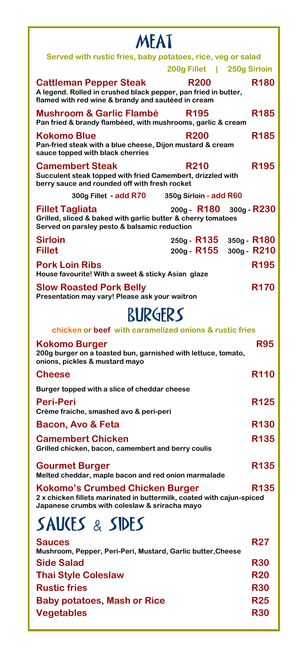| <b>MFAT</b>                                                                                                                                                      |                            |                              |
|------------------------------------------------------------------------------------------------------------------------------------------------------------------|----------------------------|------------------------------|
| Served with rustic fries, baby potatoes, rice, veg or salad                                                                                                      |                            |                              |
|                                                                                                                                                                  | 200g Fillet   250g Sirloin |                              |
| <b>Cattleman Pepper Steak</b><br>A legend. Rolled in crushed black pepper, pan fried in butter,<br>flamed with red wine & brandy and sautéed in cream            | <b>R200</b>                | R180                         |
| <b>Mushroom &amp; Garlic Flambé</b><br>Pan fried & brandy flambéed, with mushrooms, garlic & cream                                                               | R <sub>195</sub>           | R <sub>185</sub>             |
| <b>Kokomo Blue</b><br>Pan-fried steak with a blue cheese, Dijon mustard & cream<br>sauce topped with black cherries                                              | <b>R200</b>                | <b>R185</b>                  |
| <b>Camembert Steak</b><br>Succulent steak topped with fried Camembert, drizzled with<br>berry sauce and rounded off with fresh rocket                            | <b>R210</b>                | <b>R195</b>                  |
| 300g Fillet - add R70                                                                                                                                            | 350g Sirloin - add R60     |                              |
| <b>Fillet Tagliata</b><br>Grilled, sliced & baked with garlic butter & cherry tomatoes<br>Served on parsley pesto & balsamic reduction                           | 200g - R180                | $300g - R230$                |
| <b>Sirloin</b><br><b>Fillet</b>                                                                                                                                  | 250g - R135<br>200g - R155 | $350g - R180$<br>300g - R210 |
| <b>Pork Loin Ribs</b><br>House favourite! With a sweet & sticky Asian glaze                                                                                      |                            | <b>R195</b>                  |
| <b>Slow Roasted Pork Belly</b><br>Presentation may vary! Please ask your waitron                                                                                 |                            | <b>R170</b>                  |
| <b>RURGFRS</b>                                                                                                                                                   |                            |                              |
| chicken or beef with caramelized onions & rustic fries                                                                                                           |                            |                              |
| <b>Kokomo Burger</b><br>200g burger on a toasted bun, garnished with lettuce, tomato,<br>onions, pickles & mustard mayo                                          |                            | <b>R95</b>                   |
| <b>Cheese</b>                                                                                                                                                    |                            | <b>R110</b>                  |
| Burger topped with a slice of cheddar cheese                                                                                                                     |                            |                              |
| <b>Peri-Peri</b><br>Crème fraiche, smashed avo & peri-peri                                                                                                       |                            | R <sub>125</sub>             |
| Bacon, Avo & Feta                                                                                                                                                |                            | <b>R130</b>                  |
| <b>Camembert Chicken</b><br>Grilled chicken, bacon, camembert and berry coulis                                                                                   |                            | R <sub>135</sub>             |
| <b>Gourmet Burger</b><br>Melted cheddar, maple bacon and red onion marmalade                                                                                     |                            | R135                         |
| <b>Kokomo's Crumbed Chicken Burger</b><br>2 x chicken fillets marinated in buttermilk, coated with cajun-spiced<br>Japanese crumbs with coleslaw & sriracha mayo |                            | R135                         |
| SAUCES & SIDES                                                                                                                                                   |                            |                              |
| <b>Sauces</b><br>Mushroom, Pepper, Peri-Peri, Mustard, Garlic butter, Cheese                                                                                     |                            | <b>R27</b>                   |
| <b>Side Salad</b>                                                                                                                                                |                            | <b>R30</b>                   |
| <b>Thai Style Coleslaw</b>                                                                                                                                       |                            | <b>R20</b>                   |
| <b>Rustic fries</b>                                                                                                                                              |                            | <b>R30</b>                   |
| <b>Baby potatoes, Mash or Rice</b>                                                                                                                               |                            | <b>R25</b>                   |
| <b>Vegetables</b>                                                                                                                                                |                            | <b>R30</b>                   |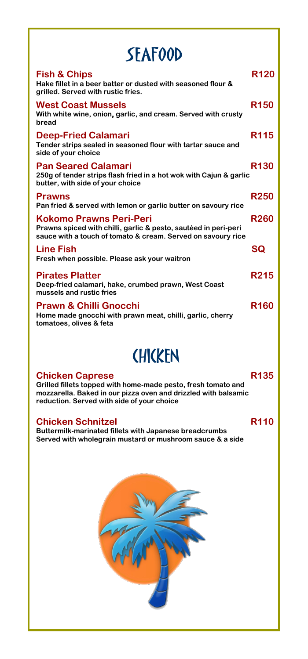| <b>SEAFOOD</b>                                                                                                                                                    |             |  |
|-------------------------------------------------------------------------------------------------------------------------------------------------------------------|-------------|--|
| <b>Fish &amp; Chips</b><br>Hake fillet in a beer batter or dusted with seasoned flour &<br>arilled. Served with rustic fries.                                     | <b>R120</b> |  |
| <b>West Coast Mussels</b><br>With white wine, onion, garlic, and cream. Served with crusty<br>bread                                                               | <b>R150</b> |  |
| <b>Deep-Fried Calamari</b><br>Tender strips sealed in seasoned flour with tartar sauce and<br>side of your choice                                                 | <b>R115</b> |  |
| <b>Pan Seared Calamari</b><br>250g of tender strips flash fried in a hot wok with Cajun & garlic<br>butter, with side of your choice                              | <b>R130</b> |  |
| <b>Prawns</b><br>Pan fried & served with lemon or garlic butter on savoury rice                                                                                   | <b>R250</b> |  |
| <b>Kokomo Prawns Peri-Peri</b><br>Prawns spiced with chilli, garlic & pesto, sautéed in peri-peri<br>sauce with a touch of tomato & cream. Served on savoury rice | <b>R260</b> |  |
| <b>Line Fish</b><br>Fresh when possible. Please ask your waitron                                                                                                  | <b>SQ</b>   |  |
| <b>Pirates Platter</b><br>Deep-fried calamari, hake, crumbed prawn, West Coast<br>mussels and rustic fries                                                        | <b>R215</b> |  |
| <b>Prawn &amp; Chilli Gnocchi</b><br>Home made gnocchi with prawn meat, chilli, garlic, cherry<br>tomatoes, olives & feta                                         | <b>R160</b> |  |

### **CHICKEN**

#### **Chicken Caprese R135**

**Grilled fillets topped with home-made pesto, fresh tomato and mozzarella. Baked in our pizza oven and drizzled with balsamic reduction. Served with side of your choice**

#### **Chicken Schnitzel R110**

**Buttermilk-marinated fillets with Japanese breadcrumbs Served with wholegrain mustard or mushroom sauce & a side** 

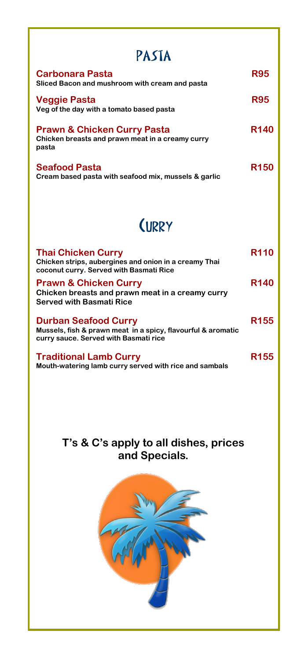| PASTA                                                                                               |             |
|-----------------------------------------------------------------------------------------------------|-------------|
| Carbonara Pasta<br>Sliced Bacon and mushroom with cream and pasta                                   | <b>R95</b>  |
| Veggie Pasta<br>Veg of the day with a tomato based pasta                                            | <b>R95</b>  |
| <b>Prawn &amp; Chicken Curry Pasta</b><br>Chicken breasts and prawn meat in a creamy curry<br>pasta | <b>R140</b> |
| <b>Seafood Pasta</b><br>Cream based pasta with seafood mix, mussels & garlic                        | <b>R150</b> |

### **(URRY**

| <b>Thai Chicken Curry</b><br>Chicken strips, aubergines and onion in a creamy Thai<br>coconut curry. Served with Basmati Rice        | <b>R110</b> |
|--------------------------------------------------------------------------------------------------------------------------------------|-------------|
| <b>Prawn &amp; Chicken Curry</b><br>Chicken breasts and prawn meat in a creamy curry<br><b>Served with Basmati Rice</b>              | <b>R140</b> |
| <b>Durban Seafood Curry</b><br>Mussels, fish & prawn meat in a spicy, flavourful & aromatic<br>curry sauce. Served with Basmati rice | <b>R155</b> |
| <b>Traditional Lamb Curry</b><br>Mouth-watering lamb curry served with rice and sambals                                              | R155        |

#### **T's & C's apply to all dishes, prices and Specials.**